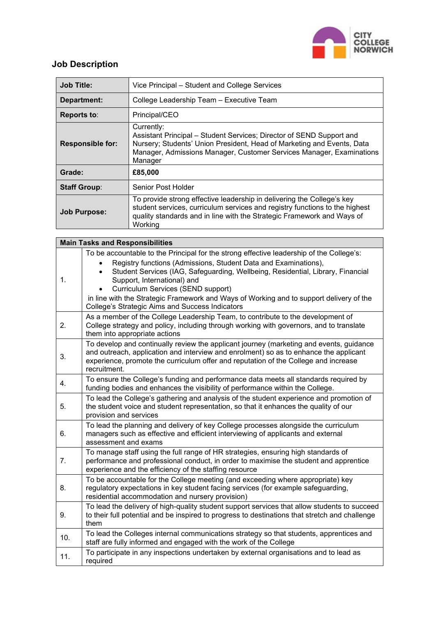

## **Job Description**

| <b>Job Title:</b>       | Vice Principal – Student and College Services                                                                                                                                                                                                   |  |  |
|-------------------------|-------------------------------------------------------------------------------------------------------------------------------------------------------------------------------------------------------------------------------------------------|--|--|
| Department:             | College Leadership Team - Executive Team                                                                                                                                                                                                        |  |  |
| <b>Reports to:</b>      | Principal/CEO                                                                                                                                                                                                                                   |  |  |
| <b>Responsible for:</b> | Currently:<br>Assistant Principal – Student Services; Director of SEND Support and<br>Nursery; Students' Union President, Head of Marketing and Events, Data<br>Manager, Admissions Manager, Customer Services Manager, Examinations<br>Manager |  |  |
| Grade:                  | £85,000                                                                                                                                                                                                                                         |  |  |
| <b>Staff Group:</b>     | Senior Post Holder                                                                                                                                                                                                                              |  |  |
| <b>Job Purpose:</b>     | To provide strong effective leadership in delivering the College's key<br>student services, curriculum services and registry functions to the highest<br>quality standards and in line with the Strategic Framework and Ways of<br>Working      |  |  |

| <b>Main Tasks and Responsibilities</b> |                                                                                                                                                                                                                                                                                                                                                                                                                                                                                |  |  |  |
|----------------------------------------|--------------------------------------------------------------------------------------------------------------------------------------------------------------------------------------------------------------------------------------------------------------------------------------------------------------------------------------------------------------------------------------------------------------------------------------------------------------------------------|--|--|--|
| 1.                                     | To be accountable to the Principal for the strong effective leadership of the College's:<br>Registry functions (Admissions, Student Data and Examinations),<br>Student Services (IAG, Safeguarding, Wellbeing, Residential, Library, Financial<br>$\bullet$<br>Support, International) and<br>Curriculum Services (SEND support)<br>in line with the Strategic Framework and Ways of Working and to support delivery of the<br>College's Strategic Aims and Success Indicators |  |  |  |
| 2.                                     | As a member of the College Leadership Team, to contribute to the development of<br>College strategy and policy, including through working with governors, and to translate<br>them into appropriate actions                                                                                                                                                                                                                                                                    |  |  |  |
| 3.                                     | To develop and continually review the applicant journey (marketing and events, guidance<br>and outreach, application and interview and enrolment) so as to enhance the applicant<br>experience, promote the curriculum offer and reputation of the College and increase<br>recruitment.                                                                                                                                                                                        |  |  |  |
| 4.                                     | To ensure the College's funding and performance data meets all standards required by<br>funding bodies and enhances the visibility of performance within the College.                                                                                                                                                                                                                                                                                                          |  |  |  |
| 5.                                     | To lead the College's gathering and analysis of the student experience and promotion of<br>the student voice and student representation, so that it enhances the quality of our<br>provision and services                                                                                                                                                                                                                                                                      |  |  |  |
| 6.                                     | To lead the planning and delivery of key College processes alongside the curriculum<br>managers such as effective and efficient interviewing of applicants and external<br>assessment and exams                                                                                                                                                                                                                                                                                |  |  |  |
| 7.                                     | To manage staff using the full range of HR strategies, ensuring high standards of<br>performance and professional conduct, in order to maximise the student and apprentice<br>experience and the efficiency of the staffing resource                                                                                                                                                                                                                                           |  |  |  |
| 8.                                     | To be accountable for the College meeting (and exceeding where appropriate) key<br>regulatory expectations in key student facing services (for example safeguarding,<br>residential accommodation and nursery provision)                                                                                                                                                                                                                                                       |  |  |  |
| 9.                                     | To lead the delivery of high-quality student support services that allow students to succeed<br>to their full potential and be inspired to progress to destinations that stretch and challenge<br>them                                                                                                                                                                                                                                                                         |  |  |  |
| 10.                                    | To lead the Colleges internal communications strategy so that students, apprentices and<br>staff are fully informed and engaged with the work of the College                                                                                                                                                                                                                                                                                                                   |  |  |  |
| 11.                                    | To participate in any inspections undertaken by external organisations and to lead as<br>required                                                                                                                                                                                                                                                                                                                                                                              |  |  |  |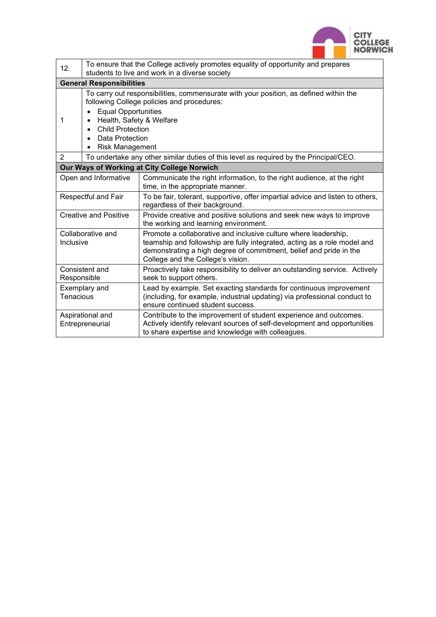

| 12.                                 | To ensure that the College actively promotes equality of opportunity and prepares<br>students to live and work in a diverse society                                                                                                                                                                                              |                                                                                                                                                                                                                                                        |  |  |  |
|-------------------------------------|----------------------------------------------------------------------------------------------------------------------------------------------------------------------------------------------------------------------------------------------------------------------------------------------------------------------------------|--------------------------------------------------------------------------------------------------------------------------------------------------------------------------------------------------------------------------------------------------------|--|--|--|
| <b>General Responsibilities</b>     |                                                                                                                                                                                                                                                                                                                                  |                                                                                                                                                                                                                                                        |  |  |  |
| 1                                   | To carry out responsibilities, commensurate with your position, as defined within the<br>following College policies and procedures:<br><b>Equal Opportunities</b><br>Health, Safety & Welfare<br>$\bullet$<br><b>Child Protection</b><br>$\bullet$<br><b>Data Protection</b><br>$\bullet$<br><b>Risk Management</b><br>$\bullet$ |                                                                                                                                                                                                                                                        |  |  |  |
| $\overline{2}$                      | To undertake any other similar duties of this level as required by the Principal/CEO.                                                                                                                                                                                                                                            |                                                                                                                                                                                                                                                        |  |  |  |
|                                     |                                                                                                                                                                                                                                                                                                                                  | Our Ways of Working at City College Norwich                                                                                                                                                                                                            |  |  |  |
| Open and Informative                |                                                                                                                                                                                                                                                                                                                                  | Communicate the right information, to the right audience, at the right<br>time, in the appropriate manner.                                                                                                                                             |  |  |  |
| Respectful and Fair                 |                                                                                                                                                                                                                                                                                                                                  | To be fair, tolerant, supportive, offer impartial advice and listen to others,<br>regardless of their background.                                                                                                                                      |  |  |  |
| <b>Creative and Positive</b>        |                                                                                                                                                                                                                                                                                                                                  | Provide creative and positive solutions and seek new ways to improve<br>the working and learning environment.                                                                                                                                          |  |  |  |
| Collaborative and<br>Inclusive      |                                                                                                                                                                                                                                                                                                                                  | Promote a collaborative and inclusive culture where leadership,<br>teamship and followship are fully integrated, acting as a role model and<br>demonstrating a high degree of commitment, belief and pride in the<br>College and the College's vision. |  |  |  |
| Consistent and<br>Responsible       |                                                                                                                                                                                                                                                                                                                                  | Proactively take responsibility to deliver an outstanding service. Actively<br>seek to support others.                                                                                                                                                 |  |  |  |
| Exemplary and<br>Tenacious          |                                                                                                                                                                                                                                                                                                                                  | Lead by example. Set exacting standards for continuous improvement<br>(including, for example, industrial updating) via professional conduct to<br>ensure continued student success.                                                                   |  |  |  |
| Aspirational and<br>Entrepreneurial |                                                                                                                                                                                                                                                                                                                                  | Contribute to the improvement of student experience and outcomes.<br>Actively identify relevant sources of self-development and opportunities<br>to share expertise and knowledge with colleagues.                                                     |  |  |  |